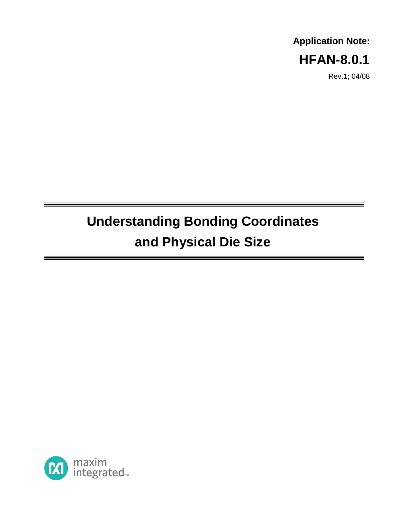## **Application Note: HFAN-8.0.1**

Rev.1; 04/08

# **Understanding Bonding Coordinates and Physical Die Size**

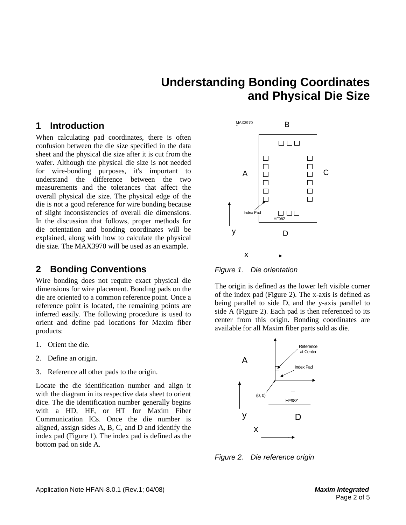## **Understanding Bonding Coordinates and Physical Die Size**

#### **1 Introduction**

When calculating pad coordinates, there is often confusion between the die size specified in the data sheet and the physical die size after it is cut from the wafer. Although the physical die size is not needed for wire-bonding purposes, it's important to understand the difference between the two measurements and the tolerances that affect the overall physical die size. The physical edge of the die is not a good reference for wire bonding because of slight inconsistencies of overall die dimensions. In the discussion that follows, proper methods for die orientation and bonding coordinates will be explained, along with how to calculate the physical die size. The MAX3970 will be used as an example.

### **2 Bonding Conventions**

Wire bonding does not require exact physical die dimensions for wire placement. Bonding pads on the die are oriented to a common reference point. Once a reference point is located, the remaining points are inferred easily. The following procedure is used to orient and define pad locations for Maxim fiber products:

- 1. Orient the die.
- 2. Define an origin.
- 3. Reference all other pads to the origin.

Locate the die identification number and align it with the diagram in its respective data sheet to orient dice. The die identification number generally begins with a HD, HF, or HT for Maxim Fiber Communication ICs. Once the die number is aligned, assign sides A, B, C, and D and identify the index pad (Figure 1). The index pad is defined as the bottom pad on side A.



Figure 1. Die orientation

The origin is defined as the lower left visible corner of the index pad (Figure 2). The x-axis is defined as being parallel to side D, and the y-axis parallel to side A (Figure 2). Each pad is then referenced to its center from this origin. Bonding coordinates are available for all Maxim fiber parts sold as die.



Figure 2. Die reference origin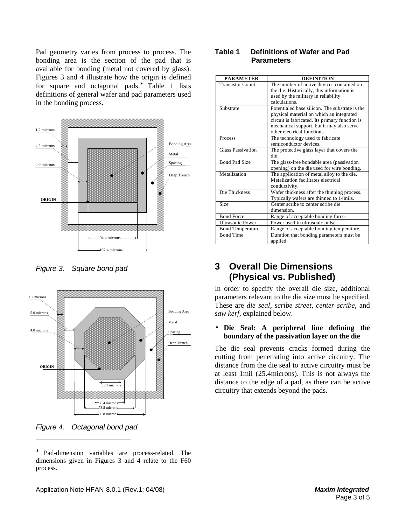Pad geometry varies from process to process. The bonding area is the section of the pad that is available for bonding (metal not covered by glass). Figures 3 and 4 illustrate how the origin is defined for square and octagonal pads.<sup>\*</sup> Table 1 lists definitions of general wafer and pad parameters used in the bonding process.



Figure 3. Square bond pad



Figure 4. Octagonal bond pad

 $\overline{a}$ 

∗ Pad-dimension variables are process-related. The dimensions given in Figures 3 and 4 relate to the F60 process.

#### **Table 1 Definitions of Wafer and Pad Parameters**

| <b>PARAMETER</b>        | <b>DEFINITION</b>                              |
|-------------------------|------------------------------------------------|
| <b>Transistor Count</b> | The number of active devices contained on      |
|                         | the die. Historically, this information is     |
|                         | used by the military in reliability            |
|                         | calculations.                                  |
| Substrate               | Potentialed base silicon. The substrate is the |
|                         | physical material on which an integrated       |
|                         | circuit is fabricated. Its primary function is |
|                         | mechanical support, but it may also serve      |
|                         | other electrical functions.                    |
| Process                 | The technology used to fabricate               |
|                         | semiconductor devices.                         |
| Glass Passivation       | The protective glass layer that covers the     |
|                         | die.                                           |
| Bond Pad Size           | The glass-free bondable area (passivation)     |
|                         | opening) on the die used for wire bonding.     |
| Metalization            | The application of metal alloy to the die.     |
|                         | Metalization facilitates electrical            |
|                         | conductivity.                                  |
| Die Thickness           | Wafer thickness after the thinning process.    |
|                         | Typically wafers are thinned to 14mils.        |
| Size                    | Center scribe to center scribe die             |
|                         | dimension.                                     |
| <b>Bond Force</b>       | Range of acceptable bonding force.             |
| <b>Ultrasonic Power</b> | Power used in ultrasonic pulse.                |
| <b>Bond Temperature</b> | Range of acceptable bonding temperature.       |
| <b>Bond Time</b>        | Duration that bonding parameters must be       |
|                         | applied.                                       |

## **3 Overall Die Dimensions (Physical vs. Published)**

In order to specify the overall die size, additional parameters relevant to the die size must be specified. These are *die seal, scribe street, center scribe,* and *saw kerf,* explained below.

#### • **Die Seal: A peripheral line defining the boundary of the passivation layer on the die**

The die seal prevents cracks formed during the cutting from penetrating into active circuitry. The distance from the die seal to active circuitry must be at least 1mil (25.4microns). This is not always the distance to the edge of a pad, as there can be active circuitry that extends beyond the pads.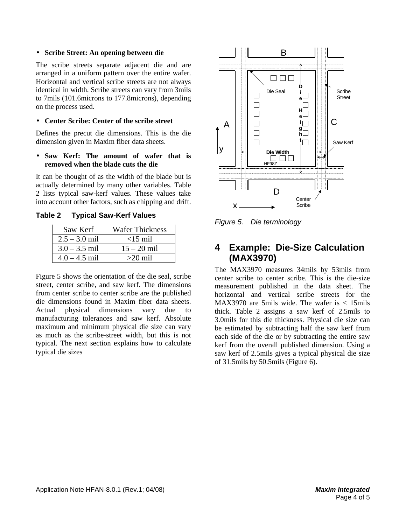#### • **Scribe Street: An opening between die**

The scribe streets separate adjacent die and are arranged in a uniform pattern over the entire wafer. Horizontal and vertical scribe streets are not always identical in width. Scribe streets can vary from 3mils to 7mils (101.6microns to 177.8microns), depending on the process used.

#### • **Center Scribe: Center of the scribe street**

Defines the precut die dimensions. This is the die dimension given in Maxim fiber data sheets.

#### • **Saw Kerf: The amount of wafer that is removed when the blade cuts the die**

It can be thought of as the width of the blade but is actually determined by many other variables. Table 2 lists typical saw-kerf values. These values take into account other factors, such as chipping and drift.

**Table 2 Typical Saw-Kerf Values** 

| Saw Kerf        | Wafer Thickness |
|-----------------|-----------------|
| $2.5 - 3.0$ mil | $<$ 15 mil      |
| $3.0 - 3.5$ mil | $15 - 20$ mil   |
| $4.0 - 4.5$ mil | $>20$ mil       |

Figure 5 shows the orientation of the die seal, scribe street, center scribe, and saw kerf. The dimensions from center scribe to center scribe are the published die dimensions found in Maxim fiber data sheets. Actual physical dimensions vary due to manufacturing tolerances and saw kerf. Absolute maximum and minimum physical die size can vary as much as the scribe-street width, but this is not typical. The next section explains how to calculate typical die sizes



Figure 5. Die terminology

## **4 Example: Die-Size Calculation (MAX3970)**

The MAX3970 measures 34mils by 53mils from center scribe to center scribe. This is the die-size measurement published in the data sheet. The horizontal and vertical scribe streets for the MAX3970 are 5mils wide. The wafer is < 15mils thick. Table 2 assigns a saw kerf of 2.5mils to 3.0mils for this die thickness. Physical die size can be estimated by subtracting half the saw kerf from each side of the die or by subtracting the entire saw kerf from the overall published dimension. Using a saw kerf of 2.5mils gives a typical physical die size of 31.5mils by 50.5mils (Figure 6).